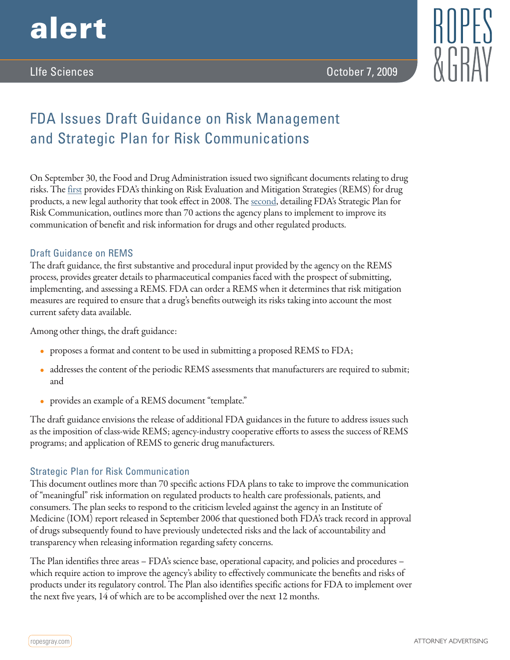

LIfe Sciences October 7, 2009

# FDA Issues Draft Guidance on Risk Management and Strategic Plan for Risk Communications

On September 30, the Food and Drug Administration issued two significant documents relating to drug risks. The [first](http://www.fda.gov/downloads/Drugs/GuidanceComplianceRegulatoryInformation/Guidances/UCM184128.pdf) provides FDA's thinking on Risk Evaluation and Mitigation Strategies (REMS) for drug products, a new legal authority that took effect in 2008. The <u>second</u>, detailing FDA's Strategic Plan for Risk Communication, outlines more than 70 actions the agency plans to implement to improve its communication of benefit and risk information for drugs and other regulated products.

### Draft Guidance on REMS

The draft guidance, the first substantive and procedural input provided by the agency on the REMS process, provides greater details to pharmaceutical companies faced with the prospect of submitting, implementing, and assessing a REMS. FDA can order a REMS when it determines that risk mitigation measures are required to ensure that a drug's benefits outweigh its risks taking into account the most current safety data available.

Among other things, the draft guidance:

- proposes a format and content to be used in submitting a proposed REMS to FDA;
- addresses the content of the periodic REMS assessments that manufacturers are required to submit; and
- provides an example of a REMS document "template."

The draft guidance envisions the release of additional FDA guidances in the future to address issues such as the imposition of class-wide REMS; agency-industry cooperative efforts to assess the success of REMS programs; and application of REMS to generic drug manufacturers.

## Strategic Plan for Risk Communication

This document outlines more than 70 specific actions FDA plans to take to improve the communication of "meaningful" risk information on regulated products to health care professionals, patients, and consumers. The plan seeks to respond to the criticism leveled against the agency in an Institute of Medicine (IOM) report released in September 2006 that questioned both FDA's track record in approval of drugs subsequently found to have previously undetected risks and the lack of accountability and transparency when releasing information regarding safety concerns.

The Plan identifies three areas – FDA's science base, operational capacity, and policies and procedures – which require action to improve the agency's ability to effectively communicate the benefits and risks of products under its regulatory control. The Plan also identifies specific actions for FDA to implement over the next five years, 14 of which are to be accomplished over the next 12 months.